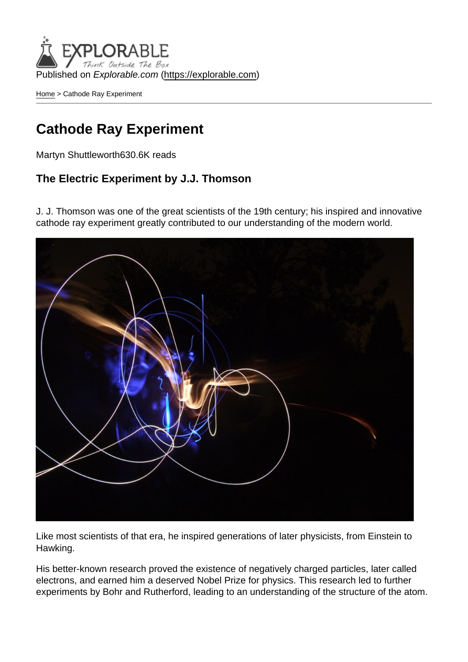Published on Explorable.com (<https://explorable.com>)

[Home](https://explorable.com/) > Cathode Ray Experiment

### Cathode Ray Experiment

Martyn Shuttleworth630.6K reads

The Electric Experiment by J.J. Thomson

J. J. Thomson was one of the great scientists of the 19th century; his inspired and innovative cathode ray experiment greatly contributed to our understanding of the modern world.

Like most scientists of that era, he inspired generations of later physicists, from Einstein to Hawking.

His better-known research proved the existence of negatively charged particles, later called electrons, and earned him a deserved Nobel Prize for physics. This research led to further experiments by Bohr and Rutherford, leading to an understanding of the structure of the atom.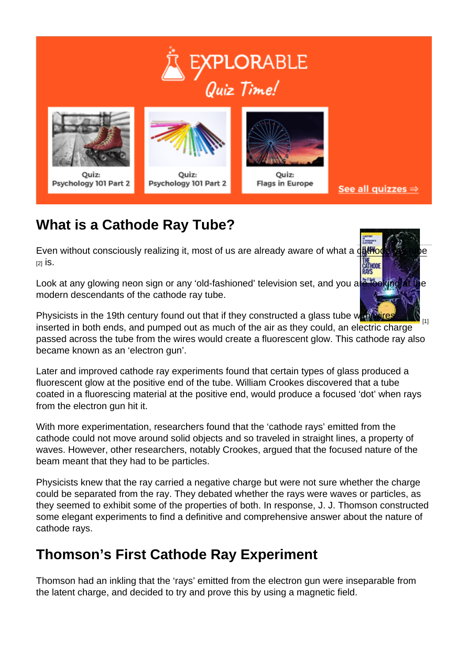# What is a Cathode Ray Tube?

Even without consciously realizing it, most of us are already aware of what a [c](http://en.wikipedia.org/wiki/Cathode_ray_tube)[athode ray tu](http://www.amazon.com/gp/product/0750304537/ref=as_li_tf_il?ie=UTF8&tag=experiresour-20&linkCode=as2&camp=217145&creative=399373&creativeASIN=0750304537)[be](http://en.wikipedia.org/wiki/Cathode_ray_tube)  $[2]$  is.

Look at any glowing neon sign or any 'old-fashioned' television set, and you are looking at the modern descendants of the cathode ray tube.

 $[1]$ Physicists in the 19th century found out that if they constructed a glass tube with wires inserted in both ends, and pumped out as much of the air as they could, an electric charge passed across the tube from the wires would create a fluorescent glow. This cathode ray also became known as an 'electron gun'.

Later and improved cathode ray experiments found that certain types of glass produced a fluorescent glow at the positive end of the tube. William Crookes discovered that a tube coated in a fluorescing material at the positive end, would produce a focused 'dot' when rays from the electron gun hit it.

With more experimentation, researchers found that the 'cathode rays' emitted from the cathode could not move around solid objects and so traveled in straight lines, a property of waves. However, other researchers, notably Crookes, argued that the focused nature of the beam meant that they had to be particles.

Physicists knew that the ray carried a negative charge but were not sure whether the charge could be separated from the ray. They debated whether the rays were waves or particles, as they seemed to exhibit some of the properties of both. In response, J. J. Thomson constructed some elegant experiments to find a definitive and comprehensive answer about the nature of cathode rays.

# Thomson's First Cathode Ray Experiment

Thomson had an inkling that the 'rays' emitted from the electron gun were inseparable from the latent charge, and decided to try and prove this by using a magnetic field.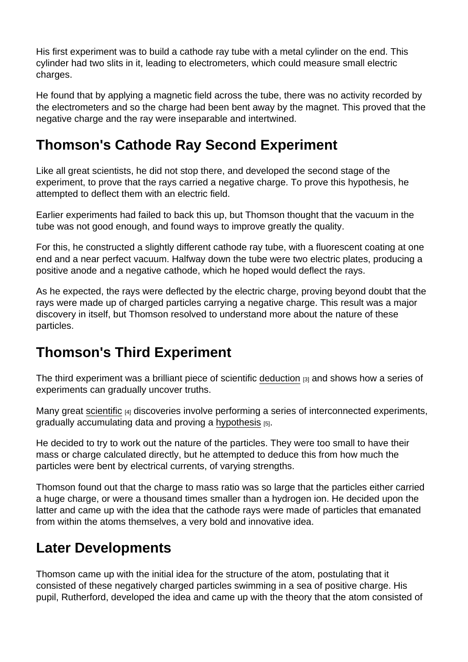His first experiment was to build a cathode ray tube with a metal cylinder on the end. This cylinder had two slits in it, leading to electrometers, which could measure small electric charges.

He found that by applying a magnetic field across the tube, there was no activity recorded by the electrometers and so the charge had been bent away by the magnet. This proved that the negative charge and the ray were inseparable and intertwined.

# Thomson's Cathode Ray Second Experiment

Like all great scientists, he did not stop there, and developed the second stage of the experiment, to prove that the rays carried a negative charge. To prove this hypothesis, he attempted to deflect them with an electric field.

Earlier experiments had failed to back this up, but Thomson thought that the vacuum in the tube was not good enough, and found ways to improve greatly the quality.

For this, he constructed a slightly different cathode ray tube, with a fluorescent coating at one end and a near perfect vacuum. Halfway down the tube were two electric plates, producing a positive anode and a negative cathode, which he hoped would deflect the rays.

As he expected, the rays were deflected by the electric charge, proving beyond doubt that the rays were made up of charged particles carrying a negative charge. This result was a major discovery in itself, but Thomson resolved to understand more about the nature of these particles.

# Thomson's Third Experiment

The third experiment was a brilliant piece of scientific [deduction](https://explorable.com/deductive-reasoning) [3] and shows how a series of experiments can gradually uncover truths.

Many great [scientific](https://explorable.com/what-is-the-scientific-method) [4] discoveries involve performing a series of interconnected experiments, gradually accumulating data and proving a [hypothesis](https://explorable.com/research-hypothesis) [5].

He decided to try to work out the nature of the particles. They were too small to have their mass or charge calculated directly, but he attempted to deduce this from how much the particles were bent by electrical currents, of varying strengths.

Thomson found out that the charge to mass ratio was so large that the particles either carried a huge charge, or were a thousand times smaller than a hydrogen ion. He decided upon the latter and came up with the idea that the cathode rays were made of particles that emanated from within the atoms themselves, a very bold and innovative idea.

# Later Developments

Thomson came up with the initial idea for the structure of the atom, postulating that it consisted of these negatively charged particles swimming in a sea of positive charge. His pupil, Rutherford, developed the idea and came up with the theory that the atom consisted of